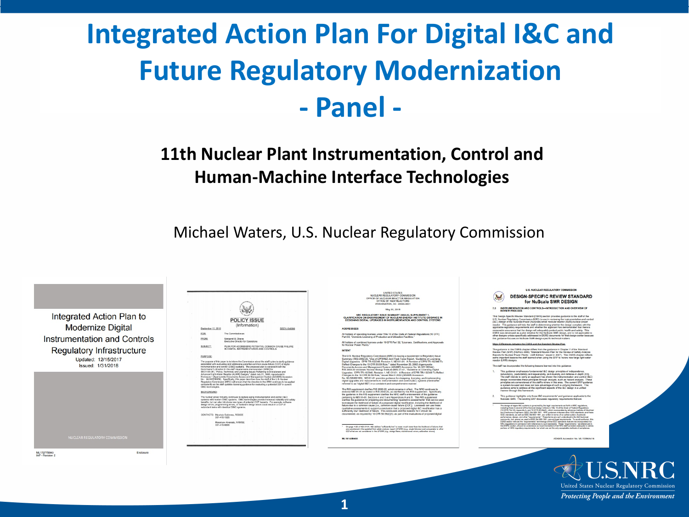### **Integrated Action Plan For Digital I&C and Future Regulatory Modernization - Panel -**

### **11th Nuclear Plant Instrumentation, Control and Human-Machine Interface Technologies**

Michael Waters, U.S. Nuclear Regulatory Commission



| ber 12, 2018 | <b>POLICY ISSUE</b><br>(Information)                                                          | SECY-18-0093 |
|--------------|-----------------------------------------------------------------------------------------------|--------------|
|              | The Commissioners                                                                             |              |
|              | Margaret M. Doane<br>Executive Director for Operations                                        |              |
| CТ           | PLAN FOR ADDRESSING POTENTIAL COMMON CAUSE FAILURE<br>IN DIGITAL INSTRUMENTATION AND CONTROLS |              |

FOR:

**FROM** 

page under 10.000 Dayt 52.11 inspects. Cartifications and

e 4-20 of NEI 01-01, NEI defines "sufficiently low"

### **U.S. NUCLEAR REGULATORY CO** DESIGN-SPECIFIC REVIEW STANDARD for NuScale SMR DESIGN

- 
- 

ADAMS Accession No. ML15356A41

United States Nuclear Regulatory Commission Protecting People and the Environment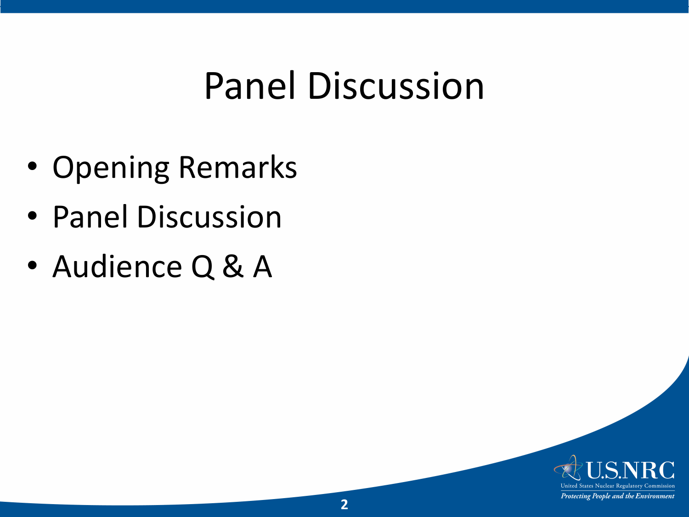## Panel Discussion

- Opening Remarks
- Panel Discussion
- Audience Q & A

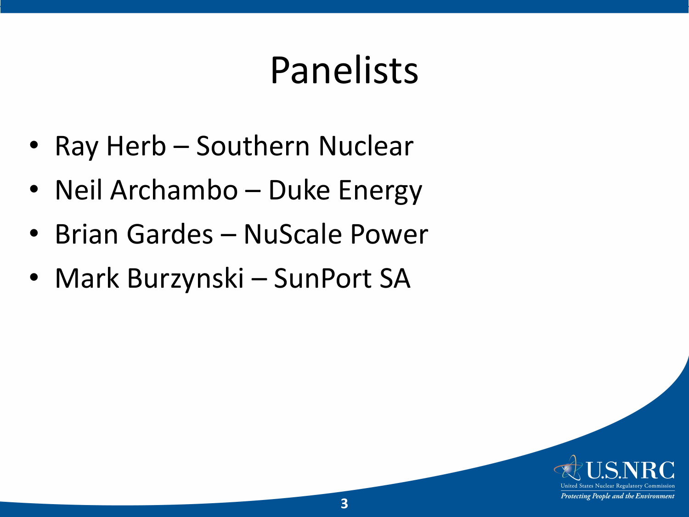# Panelists

- Ray Herb Southern Nuclear
- Neil Archambo Duke Energy
- Brian Gardes NuScale Power
- Mark Burzynski SunPort SA

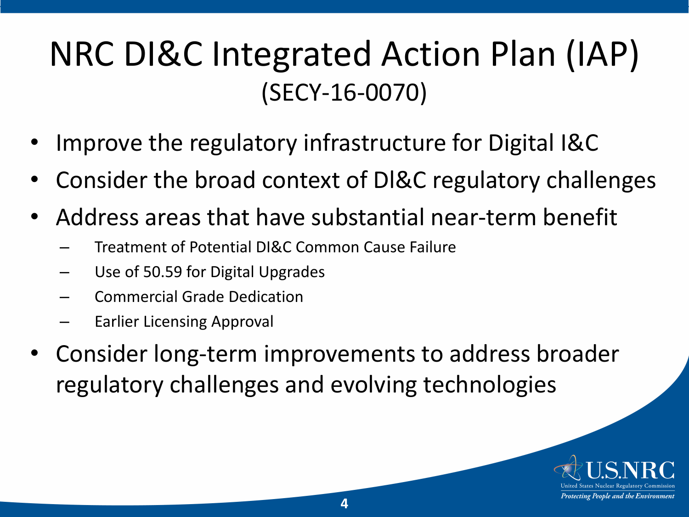### NRC DI&C Integrated Action Plan (IAP) (SECY-16-0070)

- Improve the regulatory infrastructure for Digital I&C
- Consider the broad context of Dl&C regulatory challenges
- Address areas that have substantial near-term benefit
	- Treatment of Potential DI&C Common Cause Failure
	- Use of 50.59 for Digital Upgrades
	- Commercial Grade Dedication
	- Earlier Licensing Approval
- Consider long-term improvements to address broader regulatory challenges and evolving technologies

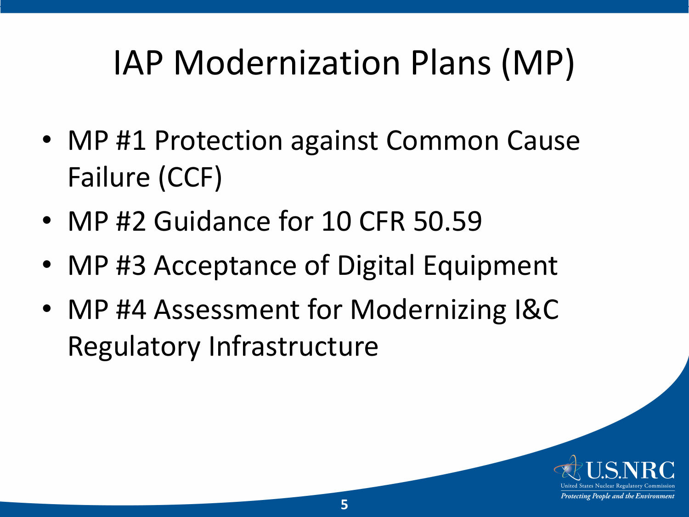## IAP Modernization Plans (MP)

- MP #1 Protection against Common Cause Failure (CCF)
- MP #2 Guidance for 10 CFR 50.59
- MP #3 Acceptance of Digital Equipment
- MP #4 Assessment for Modernizing I&C Regulatory Infrastructure

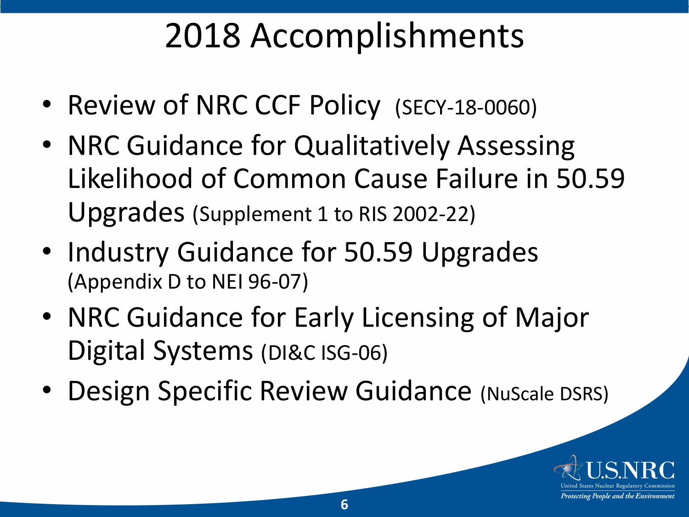### 2018 Accomplishments

- Review of NRC CCF Policy (SECY-18-0060)
- NRC Guidance for Qualitatively Assessing Likelihood of Common Cause Failure in 50.59 Upgrades (Supplement 1 to RIS 2002-22)
- Industry Guidance for 50.59 Upgrades (Appendix D to NEI 96-07)
- NRC Guidance for Early Licensing of Major Digital Systems (DI&C ISG-06)
- Design Specific Review Guidance (NuScale DSRS)

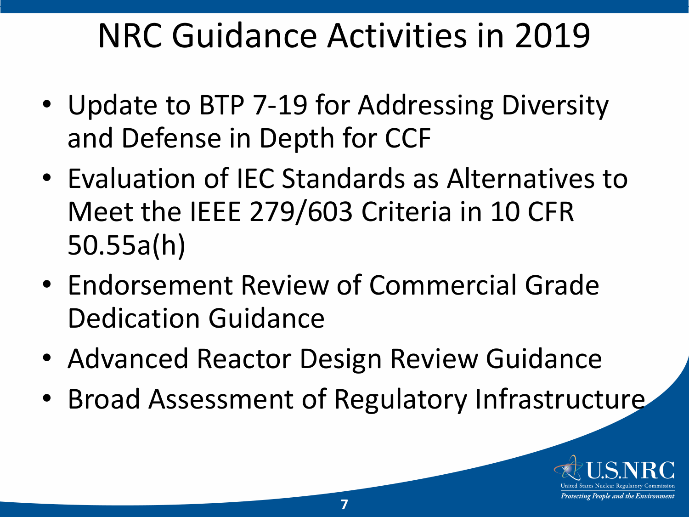### NRC Guidance Activities in 2019

- Update to BTP 7-19 for Addressing Diversity and Defense in Depth for CCF
- Evaluation of IEC Standards as Alternatives to Meet the IEEE 279/603 Criteria in 10 CFR 50.55a(h)
- Endorsement Review of Commercial Grade Dedication Guidance
- Advanced Reactor Design Review Guidance
- Broad Assessment of Regulatory Infrastructure